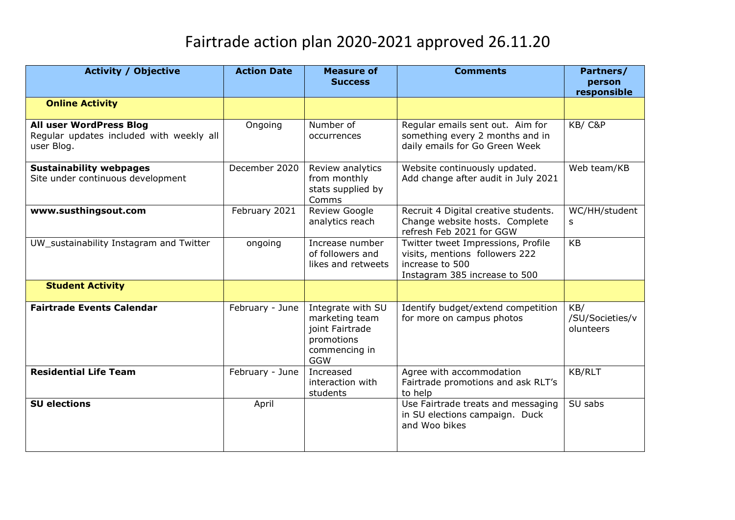## Fairtrade action plan 2020-2021 approved 26.11.20

| <b>Activity / Objective</b>                                                       | <b>Action Date</b> | <b>Measure of</b><br><b>Success</b>                                                                 | <b>Comments</b>                                                                                                          | Partners/<br>person<br>responsible  |
|-----------------------------------------------------------------------------------|--------------------|-----------------------------------------------------------------------------------------------------|--------------------------------------------------------------------------------------------------------------------------|-------------------------------------|
| <b>Online Activity</b>                                                            |                    |                                                                                                     |                                                                                                                          |                                     |
| All user WordPress Blog<br>Regular updates included with weekly all<br>user Blog. | Ongoing            | Number of<br>occurrences                                                                            | Regular emails sent out. Aim for<br>something every 2 months and in<br>daily emails for Go Green Week                    | KB/C&P                              |
| <b>Sustainability webpages</b><br>Site under continuous development               | December 2020      | Review analytics<br>from monthly<br>stats supplied by<br>Comms                                      | Website continuously updated.<br>Add change after audit in July 2021                                                     | Web team/KB                         |
| www.susthingsout.com                                                              | February 2021      | Review Google<br>analytics reach                                                                    | Recruit 4 Digital creative students.<br>Change website hosts. Complete<br>refresh Feb 2021 for GGW                       | WC/HH/student<br>S                  |
| UW_sustainability Instagram and Twitter                                           | ongoing            | Increase number<br>of followers and<br>likes and retweets                                           | Twitter tweet Impressions, Profile<br>visits, mentions followers 222<br>increase to 500<br>Instagram 385 increase to 500 | <b>KB</b>                           |
| <b>Student Activity</b>                                                           |                    |                                                                                                     |                                                                                                                          |                                     |
| <b>Fairtrade Events Calendar</b>                                                  | February - June    | Integrate with SU<br>marketing team<br>joint Fairtrade<br>promotions<br>commencing in<br><b>GGW</b> | Identify budget/extend competition<br>for more on campus photos                                                          | KB/<br>/SU/Societies/v<br>olunteers |
| <b>Residential Life Team</b>                                                      | February - June    | Increased<br>interaction with<br>students                                                           | Agree with accommodation<br>Fairtrade promotions and ask RLT's<br>to help                                                | KB/RLT                              |
| <b>SU elections</b>                                                               | April              |                                                                                                     | Use Fairtrade treats and messaging<br>in SU elections campaign. Duck<br>and Woo bikes                                    | $SU$ sabs                           |